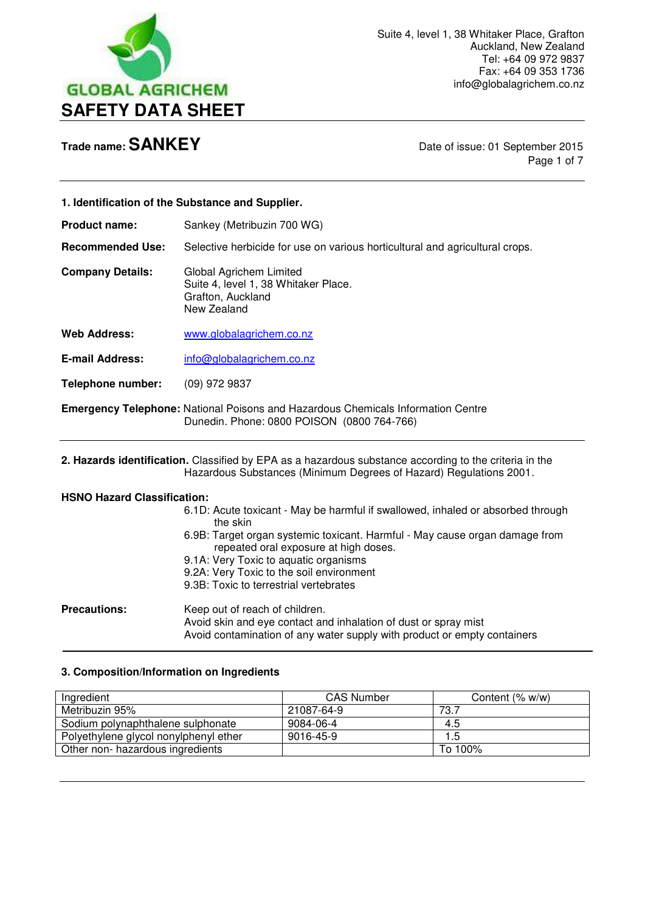

**Trade name: SANKEY** Date of issue: 01 September 2015 Page 1 of 7

| 1. Identification of the Substance and Supplier.                                                       |                                                                                                                                       |
|--------------------------------------------------------------------------------------------------------|---------------------------------------------------------------------------------------------------------------------------------------|
| <b>Product name:</b>                                                                                   | Sankey (Metribuzin 700 WG)                                                                                                            |
| <b>Recommended Use:</b>                                                                                | Selective herbicide for use on various horticultural and agricultural crops.                                                          |
| <b>Company Details:</b>                                                                                | Global Agrichem Limited<br>Suite 4, level 1, 38 Whitaker Place.<br>Grafton, Auckland<br>New Zealand                                   |
| <b>Web Address:</b>                                                                                    | www.globalagrichem.co.nz                                                                                                              |
| <b>E-mail Address:</b>                                                                                 | info@globalagrichem.co.nz                                                                                                             |
| <b>Telephone number:</b>                                                                               | (09) 972 9837                                                                                                                         |
|                                                                                                        | <b>Emergency Telephone:</b> National Poisons and Hazardous Chemicals Information Centre<br>Dunedin. Phone: 0800 POISON (0800 764-766) |
| 2. Hazards identification. Classified by EPA as a hazardous substance according to the criteria in the |                                                                                                                                       |

Hazardous Substances (Minimum Degrees of Hazard) Regulations 2001.

### **HSNO Hazard Classification:**

- 6.1D: Acute toxicant May be harmful if swallowed, inhaled or absorbed through the skin
- 6.9B: Target organ systemic toxicant. Harmful May cause organ damage from repeated oral exposure at high doses.
- 9.1A: Very Toxic to aquatic organisms
- 9.2A: Very Toxic to the soil environment
- 9.3B: Toxic to terrestrial vertebrates

**Precautions: Keep out of reach of children.** Avoid skin and eye contact and inhalation of dust or spray mist Avoid contamination of any water supply with product or empty containers  $\overline{a}$ 

### **3. Composition/Information on Ingredients**

| Ingredient                            | <b>CAS Number</b> | Content (% w/w) |
|---------------------------------------|-------------------|-----------------|
| Metribuzin 95%                        | 21087-64-9        | 73.7            |
| Sodium polynaphthalene sulphonate     | 9084-06-4         | 4.5             |
| Polyethylene glycol nonylphenyl ether | 9016-45-9         | 1.5             |
| Other non- hazardous ingredients      |                   | To 100%         |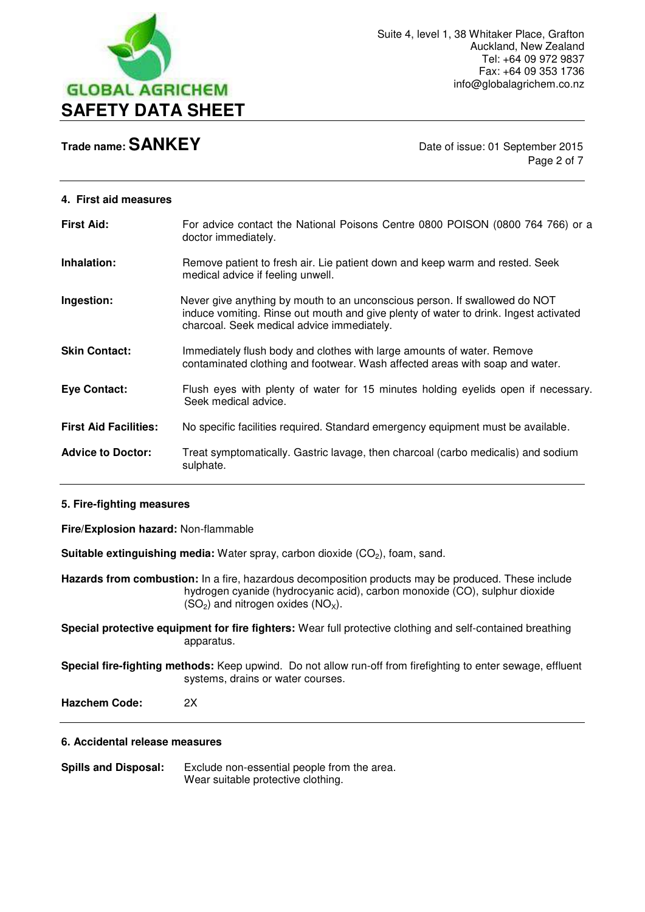

Page 2 of 7

# **4. First aid measures First Aid:** For advice contact the National Poisons Centre 0800 POISON (0800 764 766) or a doctor immediately. **Inhalation:** Remove patient to fresh air. Lie patient down and keep warm and rested. Seek medical advice if feeling unwell. **Ingestion:** Never give anything by mouth to an unconscious person. If swallowed do NOT induce vomiting. Rinse out mouth and give plenty of water to drink. Ingest activated charcoal. Seek medical advice immediately. **Skin Contact:** Immediately flush body and clothes with large amounts of water. Remove contaminated clothing and footwear. Wash affected areas with soap and water. **Eye Contact:** Flush eyes with plenty of water for 15 minutes holding eyelids open if necessary. Seek medical advice. **First Aid Facilities:** No specific facilities required. Standard emergency equipment must be available. **Advice to Doctor:** Treat symptomatically. Gastric lavage, then charcoal (carbo medicalis) and sodium sulphate.

#### **5. Fire-fighting measures**

**Fire/Explosion hazard:** Non-flammable

**Suitable extinguishing media:** Water spray, carbon dioxide (CO<sub>2</sub>), foam, sand.

**Hazards from combustion:** In a fire, hazardous decomposition products may be produced. These include hydrogen cyanide (hydrocyanic acid), carbon monoxide (CO), sulphur dioxide  $(SO_2)$  and nitrogen oxides  $(NO_X)$ .

**Special protective equipment for fire fighters:** Wear full protective clothing and self-contained breathing apparatus.

**Special fire-fighting methods:** Keep upwind. Do not allow run-off from firefighting to enter sewage, effluent systems, drains or water courses.

**Hazchem Code:** 2X

#### **6. Accidental release measures**

**Spills and Disposal:** Exclude non-essential people from the area. Wear suitable protective clothing.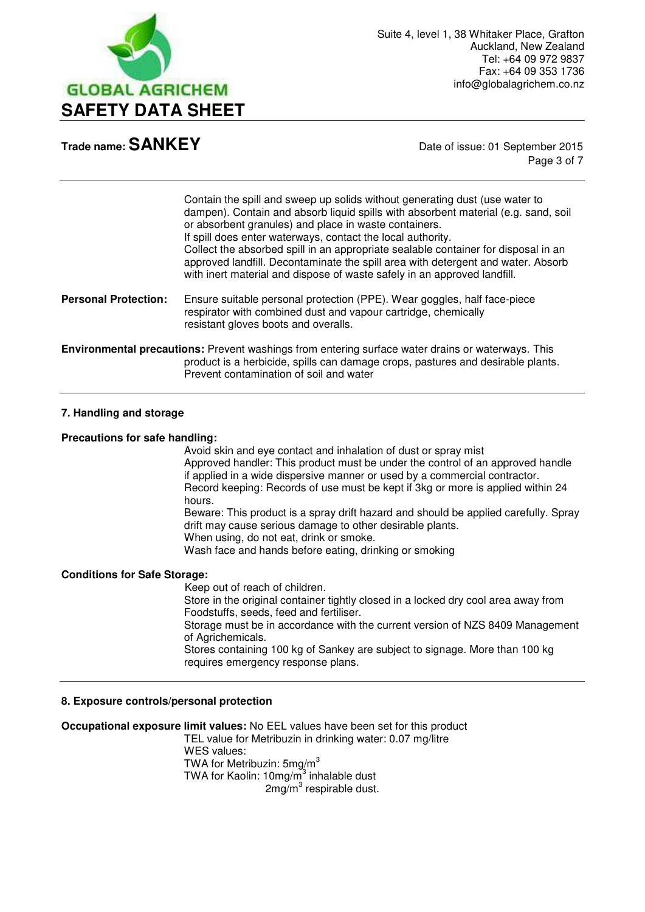

Page 3 of 7

Contain the spill and sweep up solids without generating dust (use water to dampen). Contain and absorb liquid spills with absorbent material (e.g. sand, soil or absorbent granules) and place in waste containers. If spill does enter waterways, contact the local authority. Collect the absorbed spill in an appropriate sealable container for disposal in an approved landfill. Decontaminate the spill area with detergent and water. Absorb with inert material and dispose of waste safely in an approved landfill.

**Personal Protection:** Ensure suitable personal protection (PPE). Wear goggles, half face-piece respirator with combined dust and vapour cartridge, chemically resistant gloves boots and overalls.

**Environmental precautions:** Prevent washings from entering surface water drains or waterways. This product is a herbicide, spills can damage crops, pastures and desirable plants. Prevent contamination of soil and water

#### **7. Handling and storage**

#### **Precautions for safe handling:**

Avoid skin and eye contact and inhalation of dust or spray mist Approved handler: This product must be under the control of an approved handle if applied in a wide dispersive manner or used by a commercial contractor. Record keeping: Records of use must be kept if 3kg or more is applied within 24 hours. Beware: This product is a spray drift hazard and should be applied carefully. Spray

 drift may cause serious damage to other desirable plants. When using, do not eat, drink or smoke.

Wash face and hands before eating, drinking or smoking

#### **Conditions for Safe Storage:**

Keep out of reach of children. Store in the original container tightly closed in a locked dry cool area away from Foodstuffs, seeds, feed and fertiliser. Storage must be in accordance with the current version of NZS 8409 Management of Agrichemicals. Stores containing 100 kg of Sankey are subject to signage. More than 100 kg requires emergency response plans.

#### **8. Exposure controls/personal protection**

**Occupational exposure limit values:** No EEL values have been set for this product TEL value for Metribuzin in drinking water: 0.07 mg/litre WES values: TWA for Metribuzin: 5mg/m<sup>3</sup> TWA for Kaolin: 10mg/m<sup>3</sup> inhalable dust  $2$ mg/m $3$  respirable dust.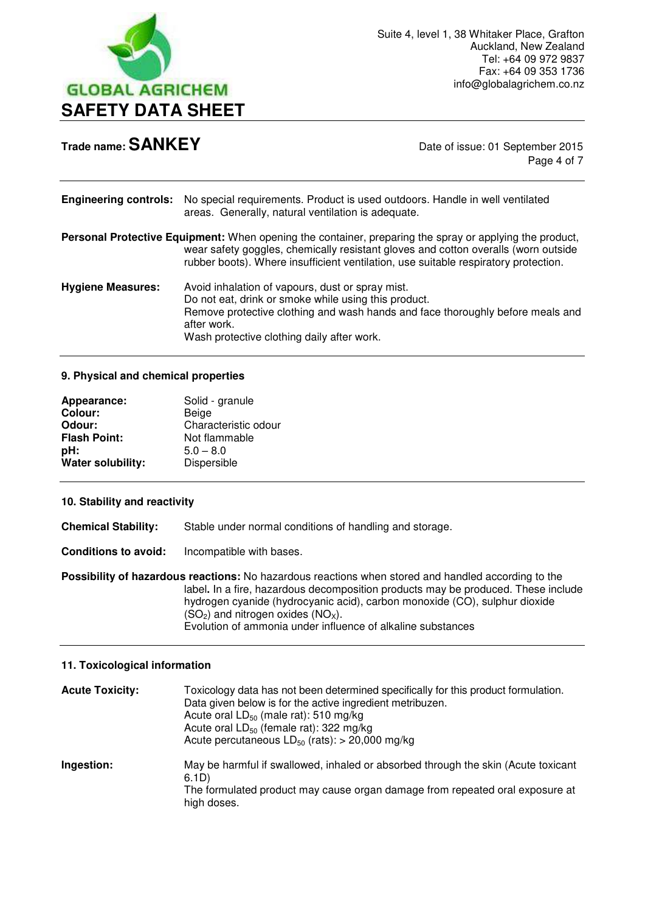

Page 4 of 7

| <b>Engineering controls:</b> | No special requirements. Product is used outdoors. Handle in well ventilated<br>areas. Generally, natural ventilation is adequate.                                                                                                                                                   |
|------------------------------|--------------------------------------------------------------------------------------------------------------------------------------------------------------------------------------------------------------------------------------------------------------------------------------|
|                              | Personal Protective Equipment: When opening the container, preparing the spray or applying the product,<br>wear safety goggles, chemically resistant gloves and cotton overalls (worn outside<br>rubber boots). Where insufficient ventilation, use suitable respiratory protection. |
| <b>Hygiene Measures:</b>     | Avoid inhalation of vapours, dust or spray mist.<br>Do not eat, drink or smoke while using this product.<br>Remove protective clothing and wash hands and face thoroughly before meals and<br>after work.<br>Wash protective clothing daily after work.                              |

#### **9. Physical and chemical properties**

| Solid - granule      |
|----------------------|
| Beige                |
| Characteristic odour |
| Not flammable        |
| $5.0 - 8.0$          |
| Dispersible          |
|                      |

#### **10. Stability and reactivity**

**Chemical Stability:** Stable under normal conditions of handling and storage.

**Conditions to avoid:** Incompatible with bases.

**Possibility of hazardous reactions:** No hazardous reactions when stored and handled according to the label**.** In a fire, hazardous decomposition products may be produced. These include hydrogen cyanide (hydrocyanic acid), carbon monoxide (CO), sulphur dioxide  $(SO<sub>2</sub>)$  and nitrogen oxides  $(NO<sub>X</sub>)$ . Evolution of ammonia under influence of alkaline substances

#### **11. Toxicological information**

| <b>Acute Toxicity:</b> | Toxicology data has not been determined specifically for this product formulation.<br>Data given below is for the active ingredient metribuzen.<br>Acute oral $LD_{50}$ (male rat): 510 mg/kg<br>Acute oral LD <sub>50</sub> (female rat): 322 mg/kg<br>Acute percutaneous $LD_{50}$ (rats): > 20,000 mg/kg |
|------------------------|-------------------------------------------------------------------------------------------------------------------------------------------------------------------------------------------------------------------------------------------------------------------------------------------------------------|
| Ingestion:             | May be harmful if swallowed, inhaled or absorbed through the skin (Acute toxicant<br>6.1D)<br>The formulated product may cause organ damage from repeated oral exposure at<br>high doses.                                                                                                                   |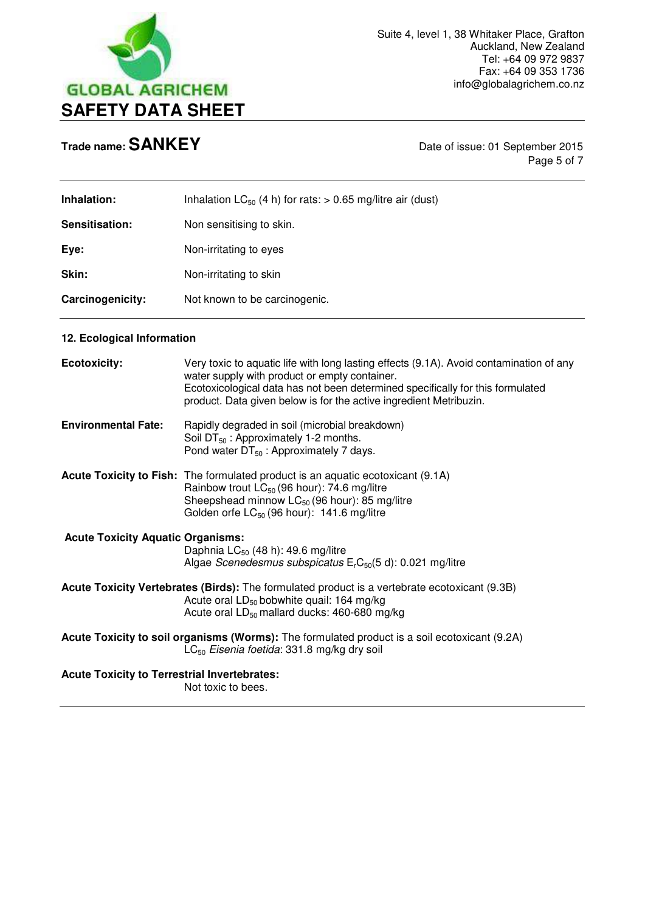

**Trade name: <b>SANKEY** Date of issue: 01 September 2015 Page 5 of 7

| Inhalation:      | Inhalation $LC_{50}$ (4 h) for rats: > 0.65 mg/litre air (dust) |
|------------------|-----------------------------------------------------------------|
| Sensitisation:   | Non sensitising to skin.                                        |
| Eye:             | Non-irritating to eyes                                          |
| Skin:            | Non-irritating to skin                                          |
| Carcinogenicity: | Not known to be carcinogenic.                                   |

### **12. Ecological Information**

| <b>Ecotoxicity:</b>                                 | Very toxic to aquatic life with long lasting effects (9.1A). Avoid contamination of any<br>water supply with product or empty container.<br>Ecotoxicological data has not been determined specifically for this formulated<br>product. Data given below is for the active ingredient Metribuzin. |
|-----------------------------------------------------|--------------------------------------------------------------------------------------------------------------------------------------------------------------------------------------------------------------------------------------------------------------------------------------------------|
| <b>Environmental Fate:</b>                          | Rapidly degraded in soil (microbial breakdown)<br>Soil $DT_{50}$ : Approximately 1-2 months.<br>Pond water $DT_{50}$ : Approximately 7 days.                                                                                                                                                     |
|                                                     | <b>Acute Toxicity to Fish:</b> The formulated product is an aquatic ecotoxicant (9.1A)<br>Rainbow trout LC <sub>50</sub> (96 hour): 74.6 mg/litre<br>Sheepshead minnow $LC_{50}$ (96 hour): 85 mg/litre<br>Golden orfe $LC_{50}$ (96 hour): 141.6 mg/litre                                       |
| <b>Acute Toxicity Aquatic Organisms:</b>            | Daphnia $LC_{50}$ (48 h): 49.6 mg/litre<br>Algae Scenedesmus subspicatus $ErC50(5 d)$ : 0.021 mg/litre                                                                                                                                                                                           |
|                                                     | Acute Toxicity Vertebrates (Birds): The formulated product is a vertebrate ecotoxicant (9.3B)<br>Acute oral $LD_{50}$ bobwhite quail: 164 mg/kg<br>Acute oral $LD_{50}$ mallard ducks: 460-680 mg/kg                                                                                             |
|                                                     | Acute Toxicity to soil organisms (Worms): The formulated product is a soil ecotoxicant (9.2A)<br>$LC_{50}$ Eisenia foetida: 331.8 mg/kg dry soil                                                                                                                                                 |
| <b>Acute Toxicity to Terrestrial Invertebrates:</b> | Not toxic to bees.                                                                                                                                                                                                                                                                               |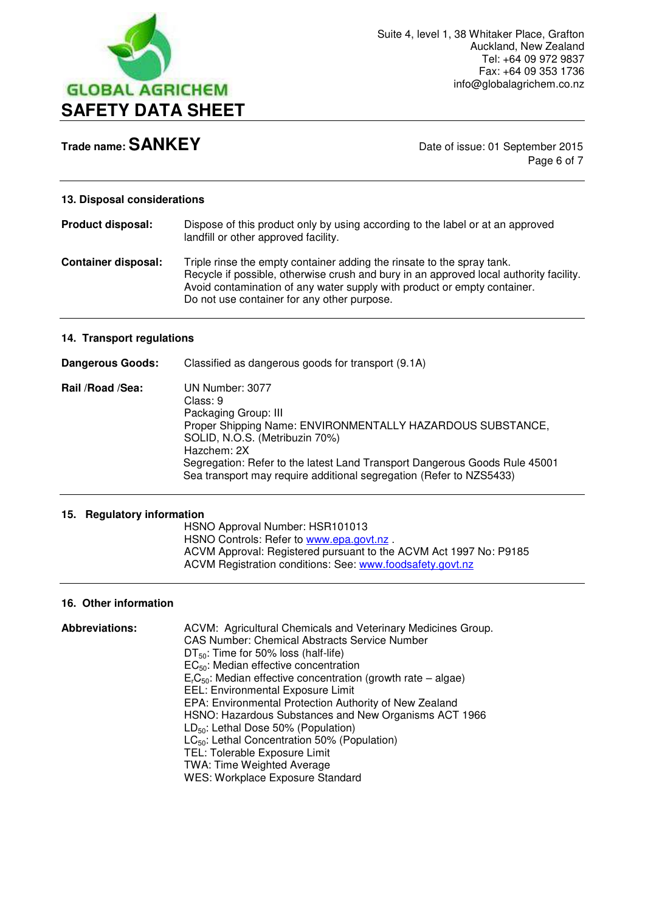

Page 6 of 7

#### **13. Disposal considerations**

| <b>Product disposal:</b>   | Dispose of this product only by using according to the label or at an approved<br>landfill or other approved facility.                                                                                                                                                                      |
|----------------------------|---------------------------------------------------------------------------------------------------------------------------------------------------------------------------------------------------------------------------------------------------------------------------------------------|
| <b>Container disposal:</b> | Triple rinse the empty container adding the rinsate to the spray tank.<br>Recycle if possible, otherwise crush and bury in an approved local authority facility.<br>Avoid contamination of any water supply with product or empty container.<br>Do not use container for any other purpose. |

#### **14. Transport regulations**

| Dangerous Goods: | Classified as dangerous goods for transport (9.1A)                                                                                                                                                                                                                                                                      |
|------------------|-------------------------------------------------------------------------------------------------------------------------------------------------------------------------------------------------------------------------------------------------------------------------------------------------------------------------|
| Rail /Road /Sea: | UN Number: 3077<br>Class: 9<br>Packaging Group: III<br>Proper Shipping Name: ENVIRONMENTALLY HAZARDOUS SUBSTANCE,<br>SOLID, N.O.S. (Metribuzin 70%)<br>Hazchem: 2X<br>Segregation: Refer to the latest Land Transport Dangerous Goods Rule 45001<br>Sea transport may require additional segregation (Refer to NZS5433) |

#### **15. Regulatory information**

 HSNO Approval Number: HSR101013 HSNO Controls: Refer to [www.epa.govt.nz](http://www.epa.govt.nz/). ACVM Approval: Registered pursuant to the ACVM Act 1997 No: P9185 ACVM Registration conditions: See: [www.foodsafety.govt.nz](http://www.foodsafety.govt.nz/) 

#### **16. Other information**

| <b>Abbreviations:</b> | ACVM: Agricultural Chemicals and Veterinary Medicines Group.   |
|-----------------------|----------------------------------------------------------------|
|                       | <b>CAS Number: Chemical Abstracts Service Number</b>           |
|                       | $DT_{50}$ : Time for 50% loss (half-life)                      |
|                       | $EC_{50}$ : Median effective concentration                     |
|                       | $ErC50$ : Median effective concentration (growth rate – algae) |
|                       | <b>EEL: Environmental Exposure Limit</b>                       |
|                       | EPA: Environmental Protection Authority of New Zealand         |
|                       | HSNO: Hazardous Substances and New Organisms ACT 1966          |
|                       | $LD_{50}$ : Lethal Dose 50% (Population)                       |
|                       | $LC_{50}$ : Lethal Concentration 50% (Population)              |
|                       | TEL: Tolerable Exposure Limit                                  |
|                       | <b>TWA: Time Weighted Average</b>                              |
|                       | <b>WES: Workplace Exposure Standard</b>                        |